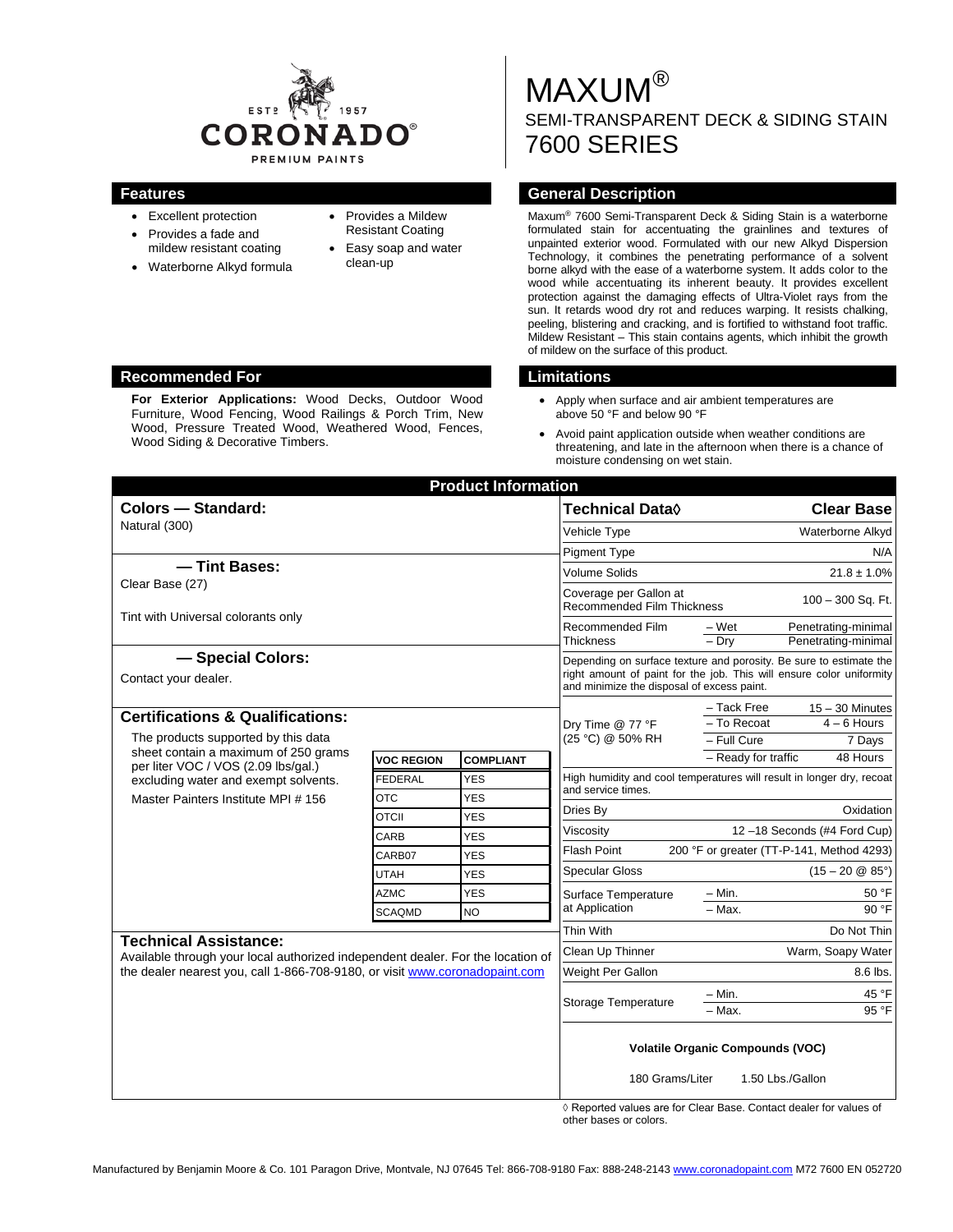

- Excellent protection • Provides a fade and
- mildew resistant coating
- Waterborne Alkyd formula
- Provides a Mildew Resistant Coating
- Easy soap and water clean-up

# MAXUM® SEMI-TRANSPARENT DECK & SIDING STAIN 7600 SERIES

#### **Features General Description**

Maxum® 7600 Semi-Transparent Deck & Siding Stain is a waterborne formulated stain for accentuating the grainlines and textures of unpainted exterior wood. Formulated with our new Alkyd Dispersion Technology, it combines the penetrating performance of a solvent borne alkyd with the ease of a waterborne system. It adds color to the wood while accentuating its inherent beauty. It provides excellent protection against the damaging effects of Ultra-Violet rays from the sun. It retards wood dry rot and reduces warping. It resists chalking, peeling, blistering and cracking, and is fortified to withstand foot traffic. Mildew Resistant – This stain contains agents, which inhibit the growth of mildew on the surface of this product.

- Apply when surface and air ambient temperatures are above 50 °F and below 90 °F
- Avoid paint application outside when weather conditions are threatening, and late in the afternoon when there is a chance of moisture condensing on wet stain.

| <b>Product Information</b><br><b>Colors - Standard:</b>                                                                                                                                           |                   |                  | <b>Technical Data</b> ◊                                                                                            | <b>Clear Base</b>                                                     |  |
|---------------------------------------------------------------------------------------------------------------------------------------------------------------------------------------------------|-------------------|------------------|--------------------------------------------------------------------------------------------------------------------|-----------------------------------------------------------------------|--|
| Natural (300)                                                                                                                                                                                     |                   |                  | Vehicle Type                                                                                                       | Waterborne Alkyd                                                      |  |
|                                                                                                                                                                                                   |                   |                  | <b>Pigment Type</b>                                                                                                | N/A                                                                   |  |
| - Tint Bases:                                                                                                                                                                                     |                   |                  | Volume Solids                                                                                                      | $21.8 \pm 1.0\%$                                                      |  |
| Clear Base (27)                                                                                                                                                                                   |                   |                  | Coverage per Gallon at                                                                                             |                                                                       |  |
| Tint with Universal colorants only                                                                                                                                                                |                   |                  | $100 - 300$ Sq. Ft.<br>Recommended Film Thickness                                                                  |                                                                       |  |
|                                                                                                                                                                                                   |                   |                  | Recommended Film<br>Thickness                                                                                      | – Wet<br>Penetrating-minimal<br>$-$ Drv<br>Penetrating-minimal        |  |
| - Special Colors:                                                                                                                                                                                 |                   |                  |                                                                                                                    | Depending on surface texture and porosity. Be sure to estimate the    |  |
| Contact your dealer.                                                                                                                                                                              |                   |                  | right amount of paint for the job. This will ensure color uniformity<br>and minimize the disposal of excess paint. |                                                                       |  |
|                                                                                                                                                                                                   |                   |                  | Dry Time @ 77 °F                                                                                                   | - Tack Free<br>$15 - 30$ Minutes                                      |  |
| <b>Certifications &amp; Qualifications:</b>                                                                                                                                                       |                   |                  |                                                                                                                    | $4 - 6$ Hours<br>- To Recoat                                          |  |
| The products supported by this data<br>sheet contain a maximum of 250 grams<br>per liter VOC / VOS (2.09 lbs/gal.)<br>excluding water and exempt solvents.<br>Master Painters Institute MPI # 156 |                   |                  | (25 °C) @ 50% RH                                                                                                   | - Full Cure<br>7 Days                                                 |  |
|                                                                                                                                                                                                   | <b>VOC REGION</b> | <b>COMPLIANT</b> |                                                                                                                    | - Ready for traffic<br>48 Hours                                       |  |
|                                                                                                                                                                                                   | <b>FEDERAL</b>    | <b>YES</b>       | and service times.                                                                                                 | High humidity and cool temperatures will result in longer dry, recoat |  |
|                                                                                                                                                                                                   | <b>OTC</b>        | <b>YES</b>       | Oxidation<br>Dries By                                                                                              |                                                                       |  |
|                                                                                                                                                                                                   | <b>OTCII</b>      | <b>YES</b>       | Viscosity                                                                                                          | 12-18 Seconds (#4 Ford Cup)                                           |  |
|                                                                                                                                                                                                   | CARB              | <b>YES</b>       | <b>Flash Point</b>                                                                                                 | 200 °F or greater (TT-P-141, Method 4293)                             |  |
|                                                                                                                                                                                                   | CARB07            | <b>YES</b>       | <b>Specular Gloss</b>                                                                                              | $(15 - 20 \& 85^{\circ})$                                             |  |
|                                                                                                                                                                                                   | <b>UTAH</b>       | <b>YES</b>       | Surface Temperature<br>at Application                                                                              |                                                                       |  |
|                                                                                                                                                                                                   | <b>AZMC</b>       | <b>YES</b>       |                                                                                                                    | $-$ Min.<br>50 °F<br>$-$ Max.<br>90 °F                                |  |
|                                                                                                                                                                                                   | <b>SCAQMD</b>     | NO.              |                                                                                                                    |                                                                       |  |
| <b>Technical Assistance:</b><br>Available through your local authorized independent dealer. For the location of<br>the dealer nearest you, call 1-866-708-9180, or visit www.coronadopaint.com    |                   |                  | Thin With                                                                                                          | Do Not Thin                                                           |  |
|                                                                                                                                                                                                   |                   |                  | Clean Up Thinner                                                                                                   | Warm, Soapy Water                                                     |  |
|                                                                                                                                                                                                   |                   |                  | Weight Per Gallon                                                                                                  | 8.6 lbs.                                                              |  |
|                                                                                                                                                                                                   |                   |                  | Storage Temperature                                                                                                | 45 °F<br>– Min.                                                       |  |
|                                                                                                                                                                                                   |                   |                  |                                                                                                                    | - Max.<br>95 °F                                                       |  |
|                                                                                                                                                                                                   |                   |                  | <b>Volatile Organic Compounds (VOC)</b>                                                                            |                                                                       |  |
|                                                                                                                                                                                                   |                   |                  | 180 Grams/Liter                                                                                                    | 1.50 Lbs./Gallon                                                      |  |

◊ Reported values are for Clear Base. Contact dealer for values of other bases or colors.

### **Recommended For Limitations**

**For Exterior Applications:** Wood Decks, Outdoor Wood Furniture, Wood Fencing, Wood Railings & Porch Trim, New Wood, Pressure Treated Wood, Weathered Wood, Fences, Wood Siding & Decorative Timbers.